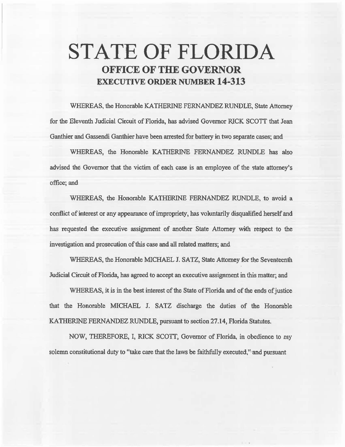# **STATE OF FLORIDA OFFICE OF THE GOVERNOR EXECUTIVE ORDER NUMBER 14-313**

WHEREAS, the Honorable KATHERINE FERNANDEZ RUNDLE, State Attorney for the Eleventh Judicial Circuit of Florida, has advised Governor RICK SCOTT that Jean Ganthier and Gassendi Ganthier have been arrested for battery in two separate cases; and

WHEREAS, the Honorable KATHERINE FERNANDEZ RUNDLE has also advised the Governor that the victim of each case is an employee of the state attomey's office; and

WHEREAS, the Honorable KATHERINE FERNANDEZ RUNDLE, to avoid a conflict of interest or any appearance of impropriety, has voluntarily disqualified herself and has requested the executive assignment of another State Attorney with respect to the investigation and prosecution of this case and all related matters; and

WHEREAS, the Honorable MICHAEL J. SATZ, State Attorney for the Seventeenth Judicial Circuit of Florida, has agreed to accept an executive assignment in this matter; and

WHEREAS, it is in the best interest of the State of Florida and of the ends of justice that the Honorable MICHAEL J. SATZ discharge the duties of the Honorable KATIIERJNE FERNANDEZ RUNDLE, pursuant to section 27.14, Florida Statutes.

NOW, THEREFORE, I, RICK SCOIT, Governor of Florida, in obedience to my solemn constitutional duty to "take care that the laws be faithfully executed," and pursuant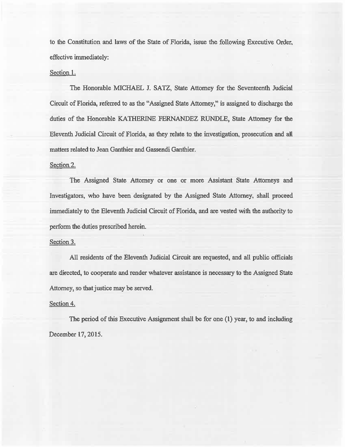to the Constitution and laws of the State of Florida, issue the following Executive Order, effective immediately:

## Section.I.

The Honorable MICHAEL J. SATZ, State Attorney for the Seventeenth Judicial Circuit of Florida, referred to as the "Assigned State Attorney," is assigned to discharge the duties of the Honorable KATHERINE FERNANDEZ RUNDLE, State Attorney for the Eleventh Judicial Circuit of Florida, as they relate to the investigation, prosecution and al1l matters related to Jean Ganthier and Gassendi Ganthier.

## Section 2.

The Assigned State Attorney or one or more Assistant State Attorneys and Jnvestigators, who have been designated by the Assigned State Attorney, shall proceed immediately to the Eleventh Judicial Circuit of Florida, and are vested with the authority to perform the duties prescribed herein.

### Section 3.

All residents of the Eleventh Judicial Circuit are requested, and all public officials are directed, to cooperate and render whatever assistance is necessary to the Assigned State Attorney, so that justice may be served.

### Section 4.

The period of this Executive Assignment shall be for one (I) year, to and induding December 17, 2015.